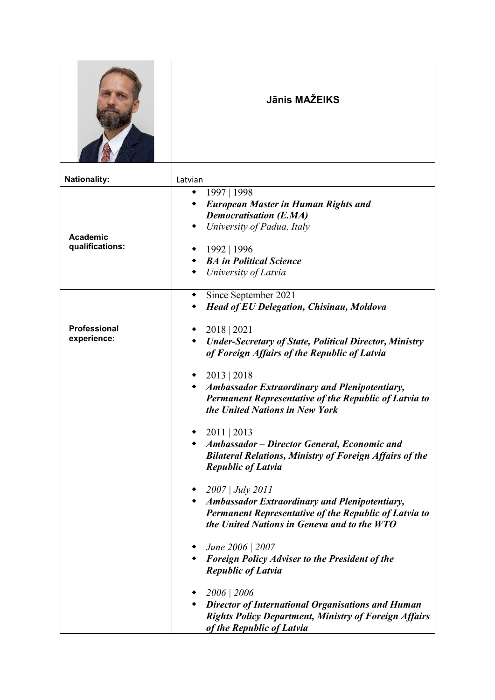|                                    | Jānis MAŽEIKS                                                                                                                                                                                           |
|------------------------------------|---------------------------------------------------------------------------------------------------------------------------------------------------------------------------------------------------------|
| <b>Nationality:</b>                | Latvian                                                                                                                                                                                                 |
| <b>Academic</b><br>qualifications: | 1997   1998<br>٠<br><b>European Master in Human Rights and</b><br><b>Democratisation (E.MA)</b><br>University of Padua, Italy<br>1992   1996<br><b>BA</b> in Political Science<br>University of Latvia  |
| <b>Professional</b><br>experience: | Since September 2021<br><b>Head of EU Delegation, Chisinau, Moldova</b><br>2018   2021<br><b>Under-Secretary of State, Political Director, Ministry</b><br>of Foreign Affairs of the Republic of Latvia |
|                                    | 2013   2018<br><b>Ambassador Extraordinary and Plenipotentiary,</b><br>Permanent Representative of the Republic of Latvia to<br>the United Nations in New York                                          |
|                                    | 2011   2013<br>Ambassador – Director General, Economic and<br><b>Bilateral Relations, Ministry of Foreign Affairs of the</b><br><b>Republic of Latvia</b>                                               |
|                                    | $\bullet$ 2007   July 2011<br>• Ambassador Extraordinary and Plenipotentiary,<br><b>Permanent Representative of the Republic of Latvia to</b><br>the United Nations in Geneva and to the WTO            |
|                                    | • <i>June</i> 2006   2007<br>• Foreign Policy Adviser to the President of the<br><b>Republic of Latvia</b>                                                                                              |
|                                    | 2006   2006<br>• Director of International Organisations and Human<br><b>Rights Policy Department, Ministry of Foreign Affairs</b><br>of the Republic of Latvia                                         |